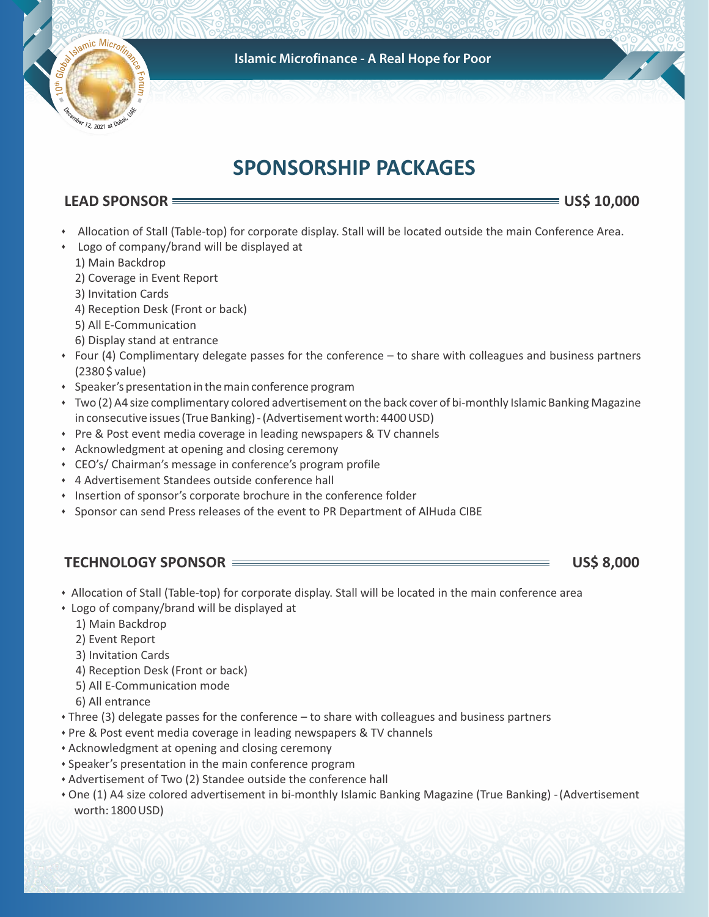

# **SPONSORSHIP PACKAGES**

# **LEAD SPONSOR US\$ 10,000**

mic Micron

12, 2021 at DV

- \* Allocation of Stall (Table-top) for corporate display. Stall will be located outside the main Conference Area.
- \* Logo of company/brand will be displayed at
	- 1) Main Backdrop
	- 2) Coverage in Event Report
	- 3) Invitation Cards
	- 4) Reception Desk (Front or back)
	- 5) All E-Communication
	- 6) Display stand at entrance
- Four (4) Complimentary delegate passes for the conference to share with colleagues and business partners (2380 \$ value)
- \* Speaker's presentation in the main conference program
- s Two (2) A4 size complimentary colored advertisement on the back cover of bi-monthly Islamic Banking Magazine in consecutive issues (True Banking) - (Advertisement worth: 4400 USD)
- Pre & Post event media coverage in leading newspapers & TV channels
- **EXED Acknowledgment at opening and closing ceremony**
- CEO's/ Chairman's message in conference's program profile
- \* 4 Advertisement Standees outside conference hall
- $\cdot$  Insertion of sponsor's corporate brochure in the conference folder
- Sponsor can send Press releases of the event to PR Department of AlHuda CIBE

# **TECHNOLOGY SPONSOR US\$ 8,000**

- Allocation of Stall (Table-top) for corporate display. Stall will be located in the main conference area
- Logo of company/brand will be displayed at
	- 1) Main Backdrop
	- 2) Event Report
	- 3) Invitation Cards
	- 4) Reception Desk (Front or back)
	- 5) All E-Communication mode
	- 6) All entrance
- Three (3) delegate passes for the conference to share with colleagues and business partners
- Pre & Post event media coverage in leading newspapers & TV channels
- \* Acknowledgment at opening and closing ceremony
- \* Speaker's presentation in the main conference program
- Advertisement of Two (2) Standee outside the conference hall
- s One (1) A4 size colored advertisement in bi-monthly Islamic Banking Magazine (True Banking) (Advertisement worth: 1800 USD)